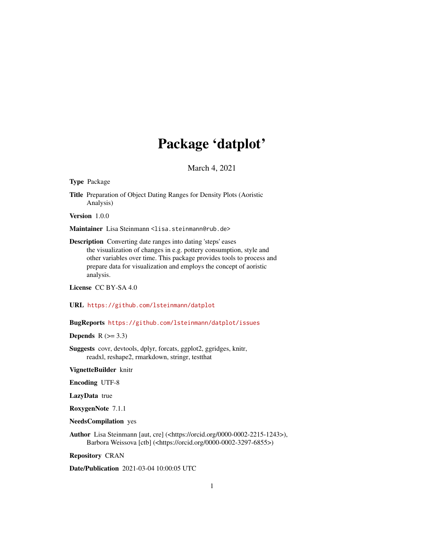## Package 'datplot'

March 4, 2021

Type Package

Title Preparation of Object Dating Ranges for Density Plots (Aoristic Analysis)

Version 1.0.0

Maintainer Lisa Steinmann <lisa.steinmann@rub.de>

Description Converting date ranges into dating 'steps' eases the visualization of changes in e.g. pottery consumption, style and other variables over time. This package provides tools to process and prepare data for visualization and employs the concept of aoristic analysis.

License CC BY-SA 4.0

URL <https://github.com/lsteinmann/datplot>

BugReports <https://github.com/lsteinmann/datplot/issues>

Depends  $R$  ( $>= 3.3$ )

Suggests covr, devtools, dplyr, forcats, ggplot2, ggridges, knitr, readxl, reshape2, rmarkdown, stringr, testthat

VignetteBuilder knitr

Encoding UTF-8

LazyData true

RoxygenNote 7.1.1

NeedsCompilation yes

Author Lisa Steinmann [aut, cre] (<https://orcid.org/0000-0002-2215-1243>), Barbora Weissova [ctb] (<https://orcid.org/0000-0002-3297-6855>)

Repository CRAN

Date/Publication 2021-03-04 10:00:05 UTC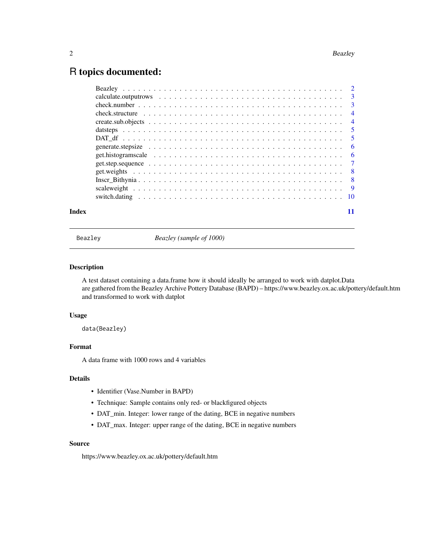### <span id="page-1-0"></span>R topics documented:

| Index |  |
|-------|--|

Beazley *Beazley (sample of 1000)*

#### Description

A test dataset containing a data.frame how it should ideally be arranged to work with datplot.Data are gathered from the Beazley Archive Pottery Database (BAPD) – https://www.beazley.ox.ac.uk/pottery/default.htm and transformed to work with datplot

#### Usage

data(Beazley)

#### Format

A data frame with 1000 rows and 4 variables

#### Details

- Identifier (Vase.Number in BAPD)
- Technique: Sample contains only red- or blackfigured objects
- DAT\_min. Integer: lower range of the dating, BCE in negative numbers
- DAT\_max. Integer: upper range of the dating, BCE in negative numbers

#### Source

https://www.beazley.ox.ac.uk/pottery/default.htm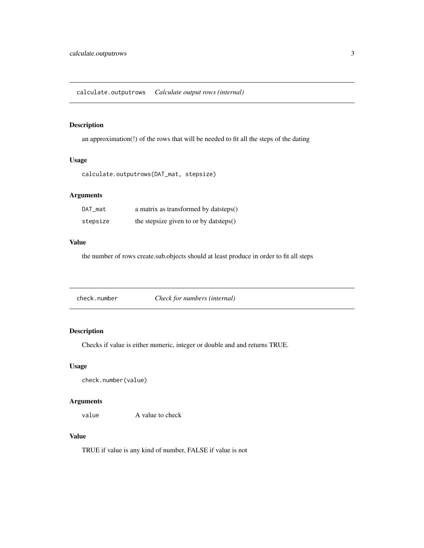<span id="page-2-0"></span>an approximation(!) of the rows that will be needed to fit all the steps of the dating

#### Usage

```
calculate.outputrows(DAT_mat, stepsize)
```
#### Arguments

| DAT_mat  | a matrix as transformed by datsteps()  |
|----------|----------------------------------------|
| stepsize | the stepsize given to or by datsteps() |

#### Value

the number of rows create.sub.objects should at least produce in order to fit all steps

check.number *Check for numbers (internal)*

#### Description

Checks if value is either numeric, integer or double and and returns TRUE.

#### Usage

check.number(value)

#### Arguments

value A value to check

#### Value

TRUE if value is any kind of number, FALSE if value is not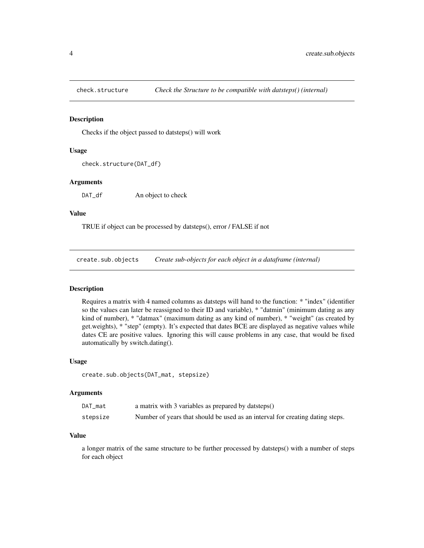<span id="page-3-0"></span>

Checks if the object passed to datsteps() will work

#### Usage

```
check.structure(DAT_df)
```
#### Arguments

DAT\_df An object to check

#### Value

TRUE if object can be processed by datsteps(), error / FALSE if not

create.sub.objects *Create sub-objects for each object in a dataframe (internal)*

#### Description

Requires a matrix with 4 named columns as datsteps will hand to the function: \* "index" (identifier so the values can later be reassigned to their ID and variable), \* "datmin" (minimum dating as any kind of number), \* "datmax" (maximum dating as any kind of number), \* "weight" (as created by get.weights), \* "step" (empty). It's expected that dates BCE are displayed as negative values while dates CE are positive values. Ignoring this will cause problems in any case, that would be fixed automatically by switch.dating().

#### Usage

```
create.sub.objects(DAT_mat, stepsize)
```
#### Arguments

| DAT mat  | a matrix with 3 variables as prepared by datsteps()                           |
|----------|-------------------------------------------------------------------------------|
| stepsize | Number of years that should be used as an interval for creating dating steps. |

#### Value

a longer matrix of the same structure to be further processed by datsteps() with a number of steps for each object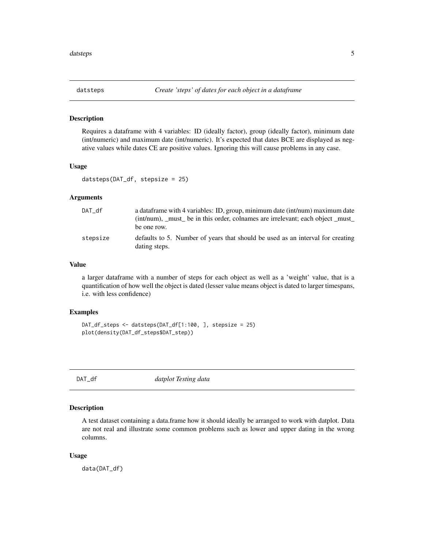<span id="page-4-0"></span>

Requires a dataframe with 4 variables: ID (ideally factor), group (ideally factor), minimum date (int/numeric) and maximum date (int/numeric). It's expected that dates BCE are displayed as negative values while dates CE are positive values. Ignoring this will cause problems in any case.

#### Usage

datsteps(DAT\_df, stepsize = 25)

#### Arguments

| DAT df   | a data frame with 4 variables: ID, group, minimum date (int/num) maximum date                   |
|----------|-------------------------------------------------------------------------------------------------|
|          | (int/num), _must_ be in this order, colnames are irrelevant; each object _must_                 |
|          | be one row.                                                                                     |
| stepsize | defaults to 5. Number of years that should be used as an interval for creating<br>dating steps. |

#### Value

a larger dataframe with a number of steps for each object as well as a 'weight' value, that is a quantification of how well the object is dated (lesser value means object is dated to larger timespans, i.e. with less confidence)

#### Examples

```
DAT_df_steps <- datsteps(DAT_df[1:100, ], stepsize = 25)
plot(density(DAT_df_steps$DAT_step))
```
DAT\_df *datplot Testing data*

#### Description

A test dataset containing a data.frame how it should ideally be arranged to work with datplot. Data are not real and illustrate some common problems such as lower and upper dating in the wrong columns.

#### Usage

data(DAT\_df)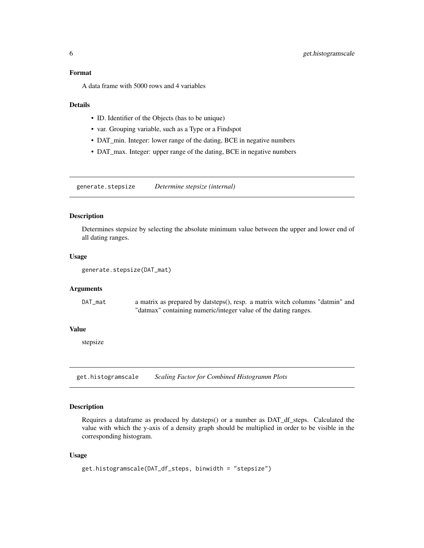#### <span id="page-5-0"></span>Format

A data frame with 5000 rows and 4 variables

#### **Details**

- ID. Identifier of the Objects (has to be unique)
- var. Grouping variable, such as a Type or a Findspot
- DAT\_min. Integer: lower range of the dating, BCE in negative numbers
- DAT\_max. Integer: upper range of the dating, BCE in negative numbers

generate.stepsize *Determine stepsize (internal)*

#### Description

Determines stepsize by selecting the absolute minimum value between the upper and lower end of all dating ranges.

#### Usage

```
generate.stepsize(DAT_mat)
```
#### Arguments

| DAT mat | a matrix as prepared by datsteps(), resp. a matrix witch columns "datmin" and |
|---------|-------------------------------------------------------------------------------|
|         | "datmax" containing numeric/integer value of the dating ranges.               |

#### Value

stepsize

get.histogramscale *Scaling Factor for Combined Histogramm Plots*

#### Description

Requires a dataframe as produced by datsteps() or a number as DAT\_df\_steps. Calculated the value with which the y-axis of a density graph should be multiplied in order to be visible in the corresponding histogram.

#### Usage

```
get.histogramscale(DAT_df_steps, binwidth = "stepsize")
```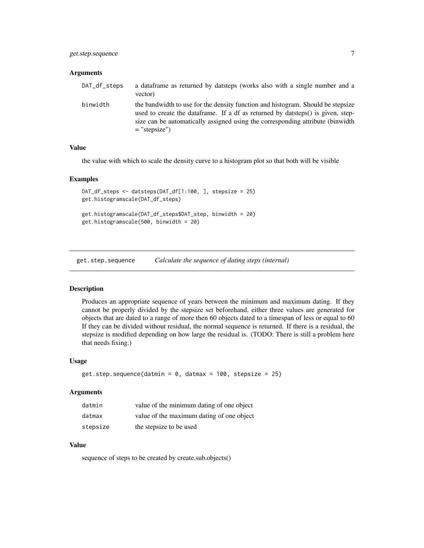#### <span id="page-6-0"></span>**Arguments**

| DAT_df_steps | a data frame as returned by datsteps (works also with a single number and a<br>vector)                                                                                                                                                                                   |
|--------------|--------------------------------------------------------------------------------------------------------------------------------------------------------------------------------------------------------------------------------------------------------------------------|
| binwidth     | the bandwidth to use for the density function and histogram. Should be stepsize<br>used to create the data frame. If a df as returned by datsteps() is given, step-<br>size can be automatically assigned using the corresponding attribute (binwidth<br>$=$ "stepsize") |

#### Value

the value with which to scale the density curve to a histogram plot so that both will be visible

#### Examples

```
DAT_df_steps <- datsteps(DAT_df[1:100, ], stepsize = 25)
get.histogramscale(DAT_df_steps)
get.histogramscale(DAT_df_steps$DAT_step, binwidth = 20)
get.histogramscale(500, binwidth = 20)
```
get.step.sequence *Calculate the sequence of dating steps (internal)*

#### **Description**

Produces an appropriate sequence of years between the minimum and maximum dating. If they cannot be properly divided by the stepsize set beforehand, either three values are generated for objects that are dated to a range of more then 60 objects dated to a timespan of less or equal to 60 If they can be divided without residual, the normal sequence is returned. If there is a residual, the stepsize is modified depending on how large the residual is. (TODO: There is still a problem here that needs fixing.)

#### Usage

```
get.step.sequence(datmin = 0, datmax = 100, stepsize = 25)
```
#### **Arguments**

| datmin   | value of the minimum dating of one object |
|----------|-------------------------------------------|
| datmax   | value of the maximum dating of one object |
| stepsize | the stepsize to be used                   |

#### Value

sequence of steps to be created by create.sub.objects()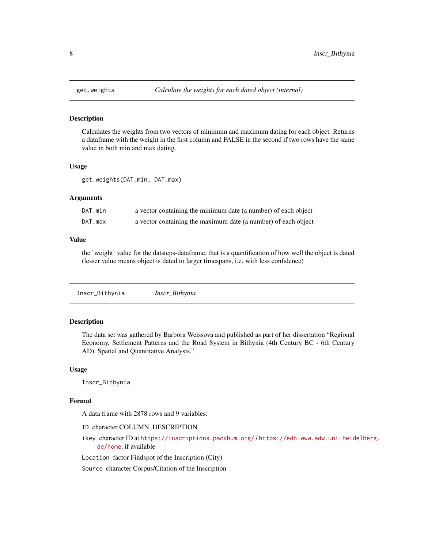<span id="page-7-0"></span>

Calculates the weights from two vectors of minimum and maximum dating for each object. Returns a dataframe with the weight in the first column and FALSE in the second if two rows have the same value in both min and max dating.

#### Usage

get.weights(DAT\_min, DAT\_max)

#### Arguments

| DAT_min | a vector containing the minimum date (a number) of each object |
|---------|----------------------------------------------------------------|
| DAT_max | a vector containing the maximum date (a number) of each object |

#### Value

the 'weight' value for the datsteps-dataframe, that is a quantification of how well the object is dated (lesser value means object is dated to larger timespans, i.e. with less confidence)

Inscr\_Bithynia *Inscr\_Bithynia*

#### Description

The data set was gathered by Barbora Weissova and published as part of her dissertation "Regional Economy, Settlement Patterns and the Road System in Bithynia (4th Century BC - 6th Century AD). Spatial and Quantitative Analysis.".

#### Usage

Inscr\_Bithynia

#### Format

A data frame with 2878 rows and 9 variables:

ID character COLUMN\_DESCRIPTION

ikey character ID at <https://inscriptions.packhum.org/> / [https://edh-www.adw.uni-heid](https://edh-www.adw.uni-heidelberg.de/home)elberg. [de/home](https://edh-www.adw.uni-heidelberg.de/home), if available

Location factor Findspot of the Inscription (City)

Source character Corpus/Citation of the Inscription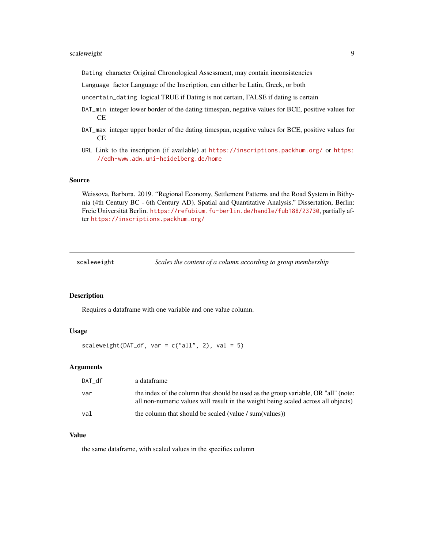#### <span id="page-8-0"></span>scaleweight 9

Dating character Original Chronological Assessment, may contain inconsistencies

Language factor Language of the Inscription, can either be Latin, Greek, or both

uncertain\_dating logical TRUE if Dating is not certain, FALSE if dating is certain

- DAT\_min integer lower border of the dating timespan, negative values for BCE, positive values for CE
- DAT\_max integer upper border of the dating timespan, negative values for BCE, positive values for CE
- URL Link to the inscription (if available) at <https://inscriptions.packhum.org/> or [https:](https://edh-www.adw.uni-heidelberg.de/home) [//edh-www.adw.uni-heidelberg.de/home](https://edh-www.adw.uni-heidelberg.de/home)

#### Source

Weissova, Barbora. 2019. "Regional Economy, Settlement Patterns and the Road System in Bithynia (4th Century BC - 6th Century AD). Spatial and Quantitative Analysis." Dissertation, Berlin: Freie Universität Berlin. <https://refubium.fu-berlin.de/handle/fub188/23730>, partially after <https://inscriptions.packhum.org/>

scaleweight *Scales the content of a column according to group membership*

#### Description

Requires a dataframe with one variable and one value column.

#### Usage

scaleweight(DAT\_df, var =  $c("all", 2)$ , val = 5)

#### Arguments

| DAT df | a dataframe                                                                                                                                                             |
|--------|-------------------------------------------------------------------------------------------------------------------------------------------------------------------------|
| var    | the index of the column that should be used as the group variable, OR "all" (note:<br>all non-numeric values will result in the weight being scaled across all objects) |
| val    | the column that should be scaled (value / sum(values))                                                                                                                  |

#### Value

the same dataframe, with scaled values in the specifies column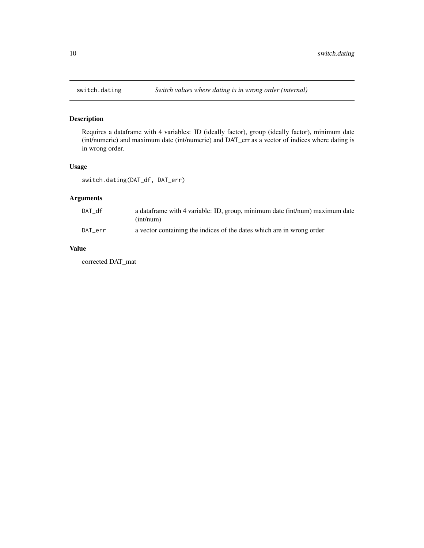<span id="page-9-0"></span>

Requires a dataframe with 4 variables: ID (ideally factor), group (ideally factor), minimum date (int/numeric) and maximum date (int/numeric) and DAT\_err as a vector of indices where dating is in wrong order.

#### Usage

```
switch.dating(DAT_df, DAT_err)
```
#### Arguments

| DAT df  | a dataframe with 4 variable: ID, group, minimum date (int/num) maximum date |
|---------|-----------------------------------------------------------------------------|
|         | (int/num)                                                                   |
| DAT err | a vector containing the indices of the dates which are in wrong order       |

#### Value

corrected DAT\_mat